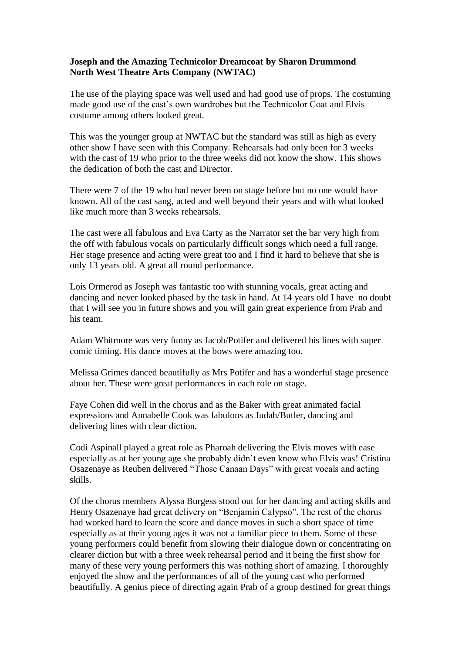## **Joseph and the Amazing Technicolor Dreamcoat by Sharon Drummond North West Theatre Arts Company (NWTAC)**

The use of the playing space was well used and had good use of props. The costuming made good use of the cast's own wardrobes but the Technicolor Coat and Elvis costume among others looked great.

This was the younger group at NWTAC but the standard was still as high as every other show I have seen with this Company. Rehearsals had only been for 3 weeks with the cast of 19 who prior to the three weeks did not know the show. This shows the dedication of both the cast and Director.

There were 7 of the 19 who had never been on stage before but no one would have known. All of the cast sang, acted and well beyond their years and with what looked like much more than 3 weeks rehearsals.

The cast were all fabulous and Eva Carty as the Narrator set the bar very high from the off with fabulous vocals on particularly difficult songs which need a full range. Her stage presence and acting were great too and I find it hard to believe that she is only 13 years old. A great all round performance.

Lois Ormerod as Joseph was fantastic too with stunning vocals, great acting and dancing and never looked phased by the task in hand. At 14 years old I have no doubt that I will see you in future shows and you will gain great experience from Prab and his team.

Adam Whitmore was very funny as Jacob/Potifer and delivered his lines with super comic timing. His dance moves at the bows were amazing too.

Melissa Grimes danced beautifully as Mrs Potifer and has a wonderful stage presence about her. These were great performances in each role on stage.

Faye Cohen did well in the chorus and as the Baker with great animated facial expressions and Annabelle Cook was fabulous as Judah/Butler, dancing and delivering lines with clear diction.

Codi Aspinall played a great role as Pharoah delivering the Elvis moves with ease especially as at her young age she probably didn't even know who Elvis was! Cristina Osazenaye as Reuben delivered "Those Canaan Days" with great vocals and acting skills.

Of the chorus members Alyssa Burgess stood out for her dancing and acting skills and Henry Osazenaye had great delivery on "Benjamin Calypso". The rest of the chorus had worked hard to learn the score and dance moves in such a short space of time especially as at their young ages it was not a familiar piece to them. Some of these young performers could benefit from slowing their dialogue down or concentrating on clearer diction but with a three week rehearsal period and it being the first show for many of these very young performers this was nothing short of amazing. I thoroughly enjoyed the show and the performances of all of the young cast who performed beautifully. A genius piece of directing again Prab of a group destined for great things